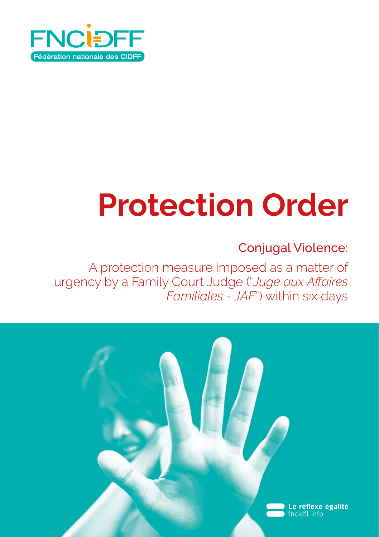

# **Protection Order**

### Conjugal Violence:

A protection measure imposed as a matter of urgency by a Family Court Judge ("*Juge aux Affaires Familiales - JAF*") within six days

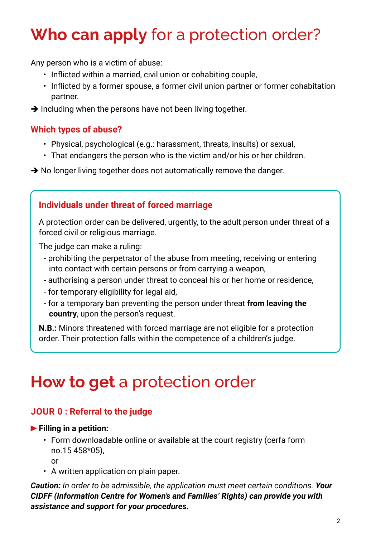## **Who can apply** for a protection order?

Any person who is a victim of abuse:

- Inflicted within a married, civil union or cohabiting couple,
- Inflicted by a former spouse, a former civil union partner or former cohabitation partner.
- $\rightarrow$  Including when the persons have not been living together.

#### **Which types of abuse?**

- Physical, psychological (e.g.: harassment, threats, insults) or sexual,
- That endangers the person who is the victim and/or his or her children.

 $\rightarrow$  No longer living together does not automatically remove the danger.

#### **Individuals under threat of forced marriage**

A protection order can be delivered, urgently, to the adult person under threat of a forced civil or religious marriage.

The judge can make a ruling:

- prohibiting the perpetrator of the abuse from meeting, receiving or entering into contact with certain persons or from carrying a weapon,
- authorising a person under threat to conceal his or her home or residence,
- for temporary eligibility for legal aid,
- for a temporary ban preventing the person under threat **from leaving the country**, upon the person's request.

**N.B.:** Minors threatened with forced marriage are not eligible for a protection order. Their protection falls within the competence of a children's judge.

### **How to get** a protection order

#### **JOUR 0 : Referral to the judge**

#### **Filling in a petition:**

• Form downloadable online or available at the court registry (cerfa form no.15 458\*05),

or

• A written application on plain paper.

*Caution: In order to be admissible, the application must meet certain conditions. Your CIDFF (Information Centre for Women's and Families' Rights) can provide you with assistance and support for your procedures.*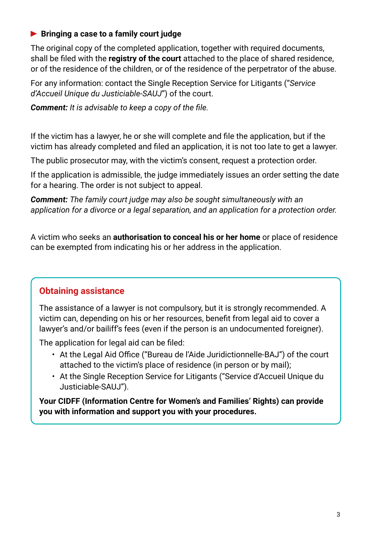#### **Bringing a case to a family court judge**

The original copy of the completed application, together with required documents, shall be filed with the **registry of the court** attached to the place of shared residence, or of the residence of the children, or of the residence of the perpetrator of the abuse.

For any information: contact the Single Reception Service for Litigants ("*Service d'Accueil Unique du Justiciable-SAUJ*") of the court.

*Comment: It is advisable to keep a copy of the file.*

If the victim has a lawyer, he or she will complete and file the application, but if the victim has already completed and filed an application, it is not too late to get a lawyer.

The public prosecutor may, with the victim's consent, request a protection order.

If the application is admissible, the judge immediately issues an order setting the date for a hearing. The order is not subject to appeal.

*Comment: The family court judge may also be sought simultaneously with an application for a divorce or a legal separation, and an application for a protection order.*

A victim who seeks an **authorisation to conceal his or her home** or place of residence can be exempted from indicating his or her address in the application.

#### **Obtaining assistance**

The assistance of a lawyer is not compulsory, but it is strongly recommended. A victim can, depending on his or her resources, benefit from legal aid to cover a lawyer's and/or bailiff's fees (even if the person is an undocumented foreigner).

The application for legal aid can be filed:

- At the Legal Aid Office ("Bureau de l'Aide Juridictionnelle-BAJ") of the court attached to the victim's place of residence (in person or by mail);
- At the Single Reception Service for Litigants ("Service d'Accueil Unique du Justiciable-SAUJ").

**Your CIDFF (Information Centre for Women's and Families' Rights) can provide you with information and support you with your procedures.**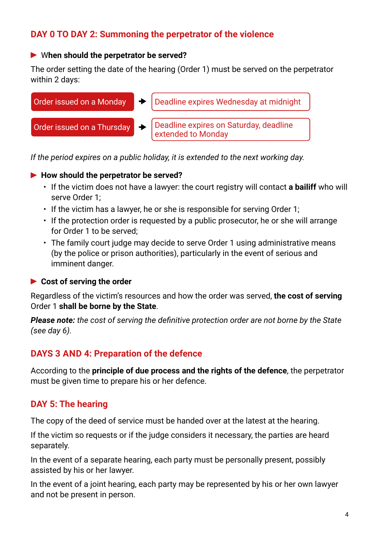#### **DAY 0 TO DAY 2: Summoning the perpetrator of the violence**

#### W**hen should the perpetrator be served?**

The order setting the date of the hearing (Order 1) must be served on the perpetrator within 2 days:



*If the period expires on a public holiday, it is extended to the next working day.*

#### ▶ How should the perpetrator be served?

- If the victim does not have a lawyer: the court registry will contact **a bailiff** who will serve Order 1;
- If the victim has a lawyer, he or she is responsible for serving Order 1;
- If the protection order is requested by a public prosecutor, he or she will arrange for Order 1 to be served;
- The family court judge may decide to serve Order 1 using administrative means (by the police or prison authorities), particularly in the event of serious and imminent danger.

#### **Cost of serving the order**

Regardless of the victim's resources and how the order was served, **the cost of serving** Order 1 **shall be borne by the State**.

*Please note: the cost of serving the definitive protection order are not borne by the State (see day 6).*

#### **DAYS 3 AND 4: Preparation of the defence**

According to the **principle of due process and the rights of the defence**, the perpetrator must be given time to prepare his or her defence.

#### **DAY 5: The hearing**

The copy of the deed of service must be handed over at the latest at the hearing.

If the victim so requests or if the judge considers it necessary, the parties are heard separately.

In the event of a separate hearing, each party must be personally present, possibly assisted by his or her lawyer.

In the event of a joint hearing, each party may be represented by his or her own lawyer and not be present in person.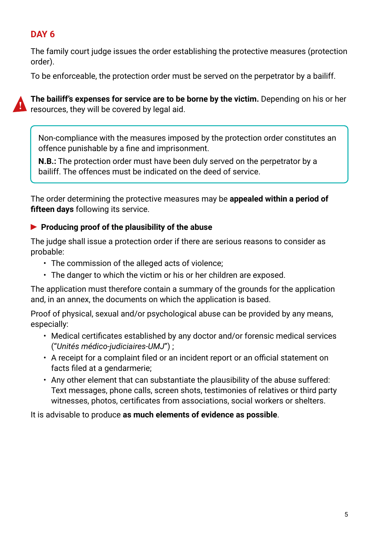#### **DAY 6**

The family court judge issues the order establishing the protective measures (protection order).

To be enforceable, the protection order must be served on the perpetrator by a bailiff.



**The bailiff's expenses for service are to be borne by the victim.** Depending on his or her **R** resources, they will be covered by legal aid.

Non-compliance with the measures imposed by the protection order constitutes an offence punishable by a fine and imprisonment.

**N.B.:** The protection order must have been duly served on the perpetrator by a bailiff. The offences must be indicated on the deed of service.

The order determining the protective measures may be **appealed within a period of fifteen days** following its service.

#### **Producing proof of the plausibility of the abuse**

The judge shall issue a protection order if there are serious reasons to consider as probable:

- The commission of the alleged acts of violence;
- The danger to which the victim or his or her children are exposed.

The application must therefore contain a summary of the grounds for the application and, in an annex, the documents on which the application is based.

Proof of physical, sexual and/or psychological abuse can be provided by any means, especially:

- Medical certificates established by any doctor and/or forensic medical services ("*Unités médico-judiciaires-UMJ*") ;
- A receipt for a complaint filed or an incident report or an official statement on facts filed at a gendarmerie;
- Any other element that can substantiate the plausibility of the abuse suffered: Text messages, phone calls, screen shots, testimonies of relatives or third party witnesses, photos, certificates from associations, social workers or shelters.

It is advisable to produce **as much elements of evidence as possible**.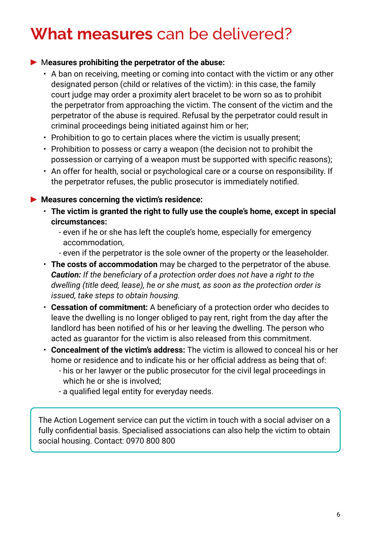### **What measures** can be delivered?

#### M**easures prohibiting the perpetrator of the abuse:**

- A ban on receiving, meeting or coming into contact with the victim or any other designated person (child or relatives of the victim): in this case, the family court judge may order a proximity alert bracelet to be worn so as to prohibit the perpetrator from approaching the victim. The consent of the victim and the perpetrator of the abuse is required. Refusal by the perpetrator could result in criminal proceedings being initiated against him or her;
- Prohibition to go to certain places where the victim is usually present;
- Prohibition to possess or carry a weapon (the decision not to prohibit the possession or carrying of a weapon must be supported with specific reasons);
- An offer for health, social or psychological care or a course on responsibility. If the perpetrator refuses, the public prosecutor is immediately notified.

#### **Measures concerning the victim's residence:**

- **The victim is granted the right to fully use the couple's home, except in special circumstances:**
	- even if he or she has left the couple's home, especially for emergency accommodation,
	- even if the perpetrator is the sole owner of the property or the leaseholder.
- **The costs of accommodation** may be charged to the perpetrator of the abuse. *Caution: If the beneficiary of a protection order does not have a right to the dwelling (title deed, lease), he or she must, as soon as the protection order is issued, take steps to obtain housing.*
- **Cessation of commitment:** A beneficiary of a protection order who decides to leave the dwelling is no longer obliged to pay rent, right from the day after the landlord has been notified of his or her leaving the dwelling. The person who acted as guarantor for the victim is also released from this commitment.
- **Concealment of the victim's address:** The victim is allowed to conceal his or her home or residence and to indicate his or her official address as being that of:
	- his or her lawyer or the public prosecutor for the civil legal proceedings in which he or she is involved;
	- a qualified legal entity for everyday needs.

The Action Logement service can put the victim in touch with a social adviser on a fully confidential basis. Specialised associations can also help the victim to obtain social housing. Contact: 0970 800 800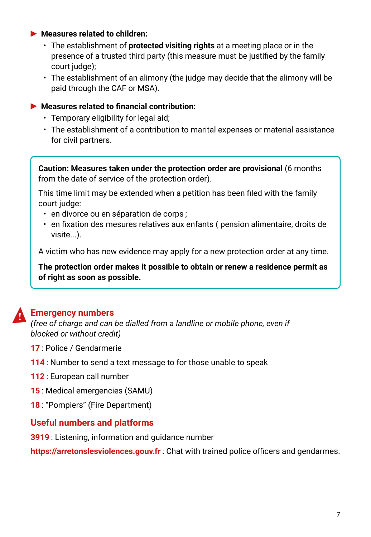#### **Measures related to children:**

- The establishment of **protected visiting rights** at a meeting place or in the presence of a trusted third party (this measure must be justified by the family court judge);
- The establishment of an alimony (the judge may decide that the alimony will be paid through the CAF or MSA).

#### **Measures related to financial contribution:**

- Temporary eligibility for legal aid;
- The establishment of a contribution to marital expenses or material assistance for civil partners.

**Caution: Measures taken under the protection order are provisional** (6 months from the date of service of the protection order).

This time limit may be extended when a petition has been filed with the family court judge:

- en divorce ou en séparation de corps ;
- en fixation des mesures relatives aux enfants ( pension alimentaire, droits de visite...).

A victim who has new evidence may apply for a new protection order at any time.

**The protection order makes it possible to obtain or renew a residence permit as of right as soon as possible.**

#### **Emergency numbers**

*(free of charge and can be dialled from a landline or mobile phone, even if blocked or without credit)*

- **17** : Police / Gendarmerie
- **114** : Number to send a text message to for those unable to speak
- **112** : European call number
- **15** : Medical emergencies (SAMU)
- **18** : "Pompiers" (Fire Department)

#### **Useful numbers and platforms**

**3919** : Listening, information and guidance number

**https://arretonslesviolences.gouv.fr** : Chat with trained police officers and gendarmes.